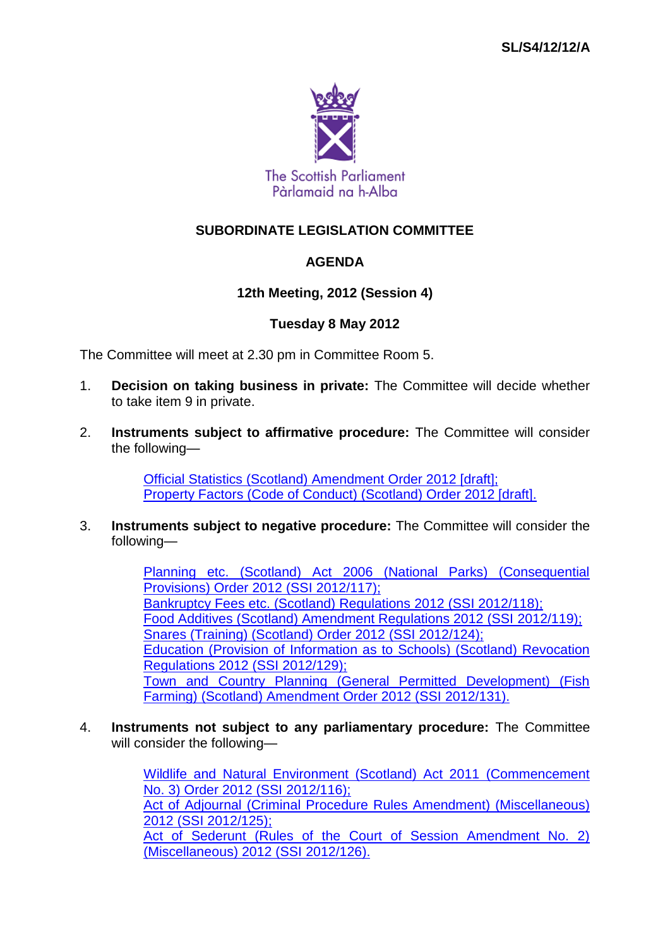

# **AGENDA**

# **12th Meeting, 2012 (Session 4)**

### **Tuesday 8 May 2012**

The Committee will meet at 2.30 pm in Committee Room 5.

- 1. **Decision on taking business in private:** The Committee will decide whether to take item 9 in private.
- 2. **Instruments subject to affirmative procedure:** The Committee will consider the following—

[Official Statistics \(Scotland\) Amendment Order 2012 \[draft\];](http://www.legislation.gov.uk/sdsi/2012/9780111016909/contents) [Property Factors \(Code of Conduct\) \(Scotland\) Order 2012 \[draft\].](http://www.legislation.gov.uk/sdsi/2012/9780111016954/contents)

3. **Instruments subject to negative procedure:** The Committee will consider the following—

> [Planning etc. \(Scotland\) Act 2006 \(National Parks\) \(Consequential](http://www.legislation.gov.uk/ssi/2012/117/contents/made)  [Provisions\) Order 2012 \(SSI](http://www.legislation.gov.uk/ssi/2012/117/contents/made) 2012/117); [Bankruptcy Fees etc. \(Scotland\) Regulations 2012 \(SSI](http://www.legislation.gov.uk/ssi/2012/118/contents/made) 2012/118); [Food Additives \(Scotland\) Amendment Regulations 2012 \(SSI](http://www.legislation.gov.uk/ssi/2012/119/contents/made) 2012/119); [Snares \(Training\) \(Scotland\) Order 2012 \(SSI](http://www.legislation.gov.uk/ssi/2012/124/contents/made) 2012/124); [Education \(Provision of Information as to Schools\) \(Scotland\) Revocation](http://www.legislation.gov.uk/ssi/2012/129/contents/made)  [Regulations 2012 \(SSI](http://www.legislation.gov.uk/ssi/2012/129/contents/made) 2012/129); [Town and Country Planning \(General Permitted Development\) \(Fish](http://www.legislation.gov.uk/ssi/2012/131/contents/made)  [Farming\) \(Scotland\) Amendment Order 2012 \(SSI](http://www.legislation.gov.uk/ssi/2012/131/contents/made) 2012/131).

4. **Instruments not subject to any parliamentary procedure:** The Committee will consider the following—

> [Wildlife and Natural Environment \(Scotland\) Act 2011 \(Commencement](http://www.legislation.gov.uk/ssi/2012/116/contents/made)  No. [3\) Order 2012 \(SSI](http://www.legislation.gov.uk/ssi/2012/116/contents/made) 2012/116); [Act of Adjournal \(Criminal Procedure Rules Amendment\) \(Miscellaneous\)](http://www.legislation.gov.uk/ssi/2012/125/contents/made)  2012 (SSI [2012/125\);](http://www.legislation.gov.uk/ssi/2012/125/contents/made) [Act of Sederunt \(Rules of the Court of Session Amendment No. 2\)](http://www.legislation.gov.uk/ssi/2012/126/contents/made)  [\(Miscellaneous\) 2012 \(SSI](http://www.legislation.gov.uk/ssi/2012/126/contents/made) 2012/126).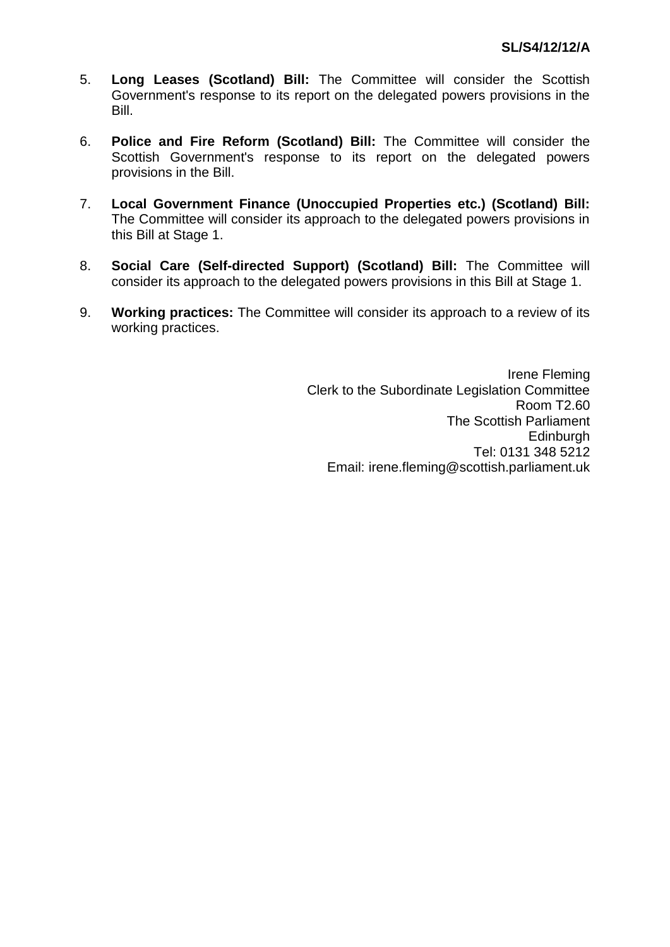- 5. **Long Leases (Scotland) Bill:** The Committee will consider the Scottish Government's response to its report on the delegated powers provisions in the Bill.
- 6. **Police and Fire Reform (Scotland) Bill:** The Committee will consider the Scottish Government's response to its report on the delegated powers provisions in the Bill.
- 7. **Local Government Finance (Unoccupied Properties etc.) (Scotland) Bill:**  The Committee will consider its approach to the delegated powers provisions in this Bill at Stage 1.
- 8. **Social Care (Self-directed Support) (Scotland) Bill:** The Committee will consider its approach to the delegated powers provisions in this Bill at Stage 1.
- 9. **Working practices:** The Committee will consider its approach to a review of its working practices.

Irene Fleming Clerk to the Subordinate Legislation Committee Room T2.60 The Scottish Parliament Edinburgh Tel: 0131 348 5212 Email: irene.fleming@scottish.parliament.uk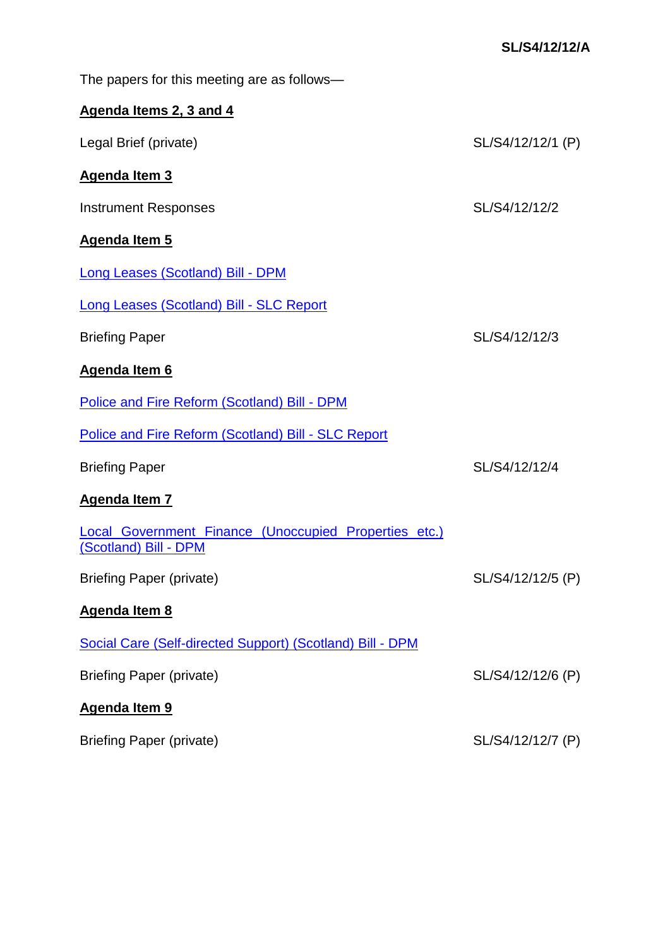The papers for this meeting are as follows—

# **Agenda Items 2, 3 and 4**

| Legal Brief (private)                                                          | SL/S4/12/12/1 (P) |
|--------------------------------------------------------------------------------|-------------------|
| <b>Agenda Item 3</b>                                                           |                   |
| <b>Instrument Responses</b>                                                    | SL/S4/12/12/2     |
| <b>Agenda Item 5</b>                                                           |                   |
| <b>Long Leases (Scotland) Bill - DPM</b>                                       |                   |
| Long Leases (Scotland) Bill - SLC Report                                       |                   |
| <b>Briefing Paper</b>                                                          | SL/S4/12/12/3     |
| <b>Agenda Item 6</b>                                                           |                   |
| Police and Fire Reform (Scotland) Bill - DPM                                   |                   |
| Police and Fire Reform (Scotland) Bill - SLC Report                            |                   |
| <b>Briefing Paper</b>                                                          | SL/S4/12/12/4     |
| <b>Agenda Item 7</b>                                                           |                   |
| Local Government Finance (Unoccupied Properties etc.)<br>(Scotland) Bill - DPM |                   |
| <b>Briefing Paper (private)</b>                                                | SL/S4/12/12/5 (P) |
| <b>Agenda Item 8</b>                                                           |                   |
| Social Care (Self-directed Support) (Scotland) Bill - DPM                      |                   |
| <b>Briefing Paper (private)</b>                                                | SL/S4/12/12/6 (P) |
| Agenda Item 9                                                                  |                   |
| <b>Briefing Paper (private)</b>                                                | SL/S4/12/12/7 (P) |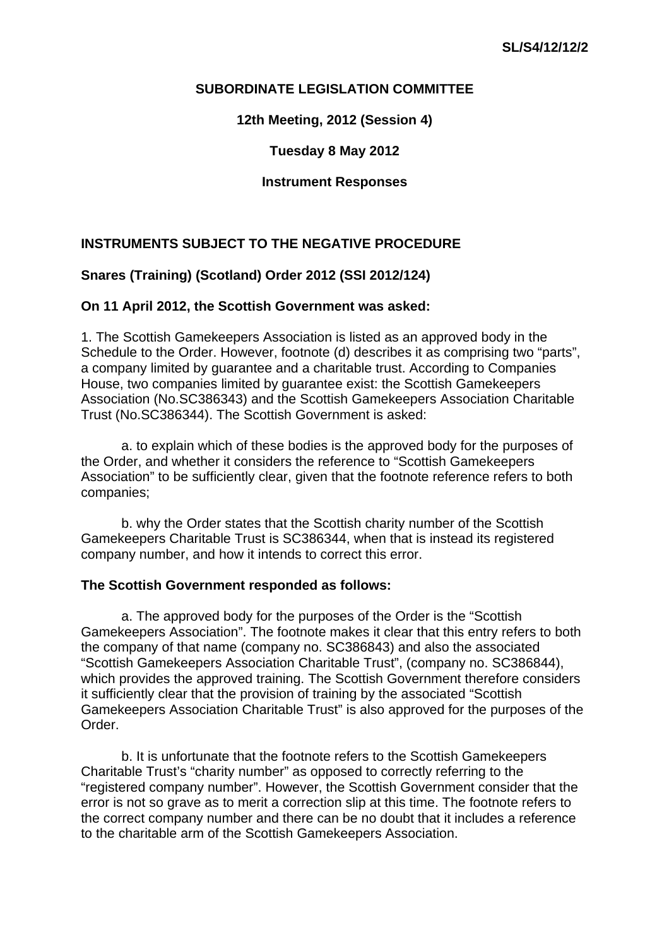**12th Meeting, 2012 (Session 4)** 

**Tuesday 8 May 2012** 

**Instrument Responses** 

# **INSTRUMENTS SUBJECT TO THE NEGATIVE PROCEDURE**

### **Snares (Training) (Scotland) Order 2012 (SSI 2012/124)**

### **On 11 April 2012, the Scottish Government was asked:**

1. The Scottish Gamekeepers Association is listed as an approved body in the Schedule to the Order. However, footnote (d) describes it as comprising two "parts", a company limited by guarantee and a charitable trust. According to Companies House, two companies limited by guarantee exist: the Scottish Gamekeepers Association (No.SC386343) and the Scottish Gamekeepers Association Charitable Trust (No.SC386344). The Scottish Government is asked:

a. to explain which of these bodies is the approved body for the purposes of the Order, and whether it considers the reference to "Scottish Gamekeepers Association" to be sufficiently clear, given that the footnote reference refers to both companies;

b. why the Order states that the Scottish charity number of the Scottish Gamekeepers Charitable Trust is SC386344, when that is instead its registered company number, and how it intends to correct this error.

#### **The Scottish Government responded as follows:**

a. The approved body for the purposes of the Order is the "Scottish Gamekeepers Association". The footnote makes it clear that this entry refers to both the company of that name (company no. SC386843) and also the associated "Scottish Gamekeepers Association Charitable Trust", (company no. SC386844), which provides the approved training. The Scottish Government therefore considers it sufficiently clear that the provision of training by the associated "Scottish Gamekeepers Association Charitable Trust" is also approved for the purposes of the Order.

b. It is unfortunate that the footnote refers to the Scottish Gamekeepers Charitable Trust's "charity number" as opposed to correctly referring to the "registered company number". However, the Scottish Government consider that the error is not so grave as to merit a correction slip at this time. The footnote refers to the correct company number and there can be no doubt that it includes a reference to the charitable arm of the Scottish Gamekeepers Association.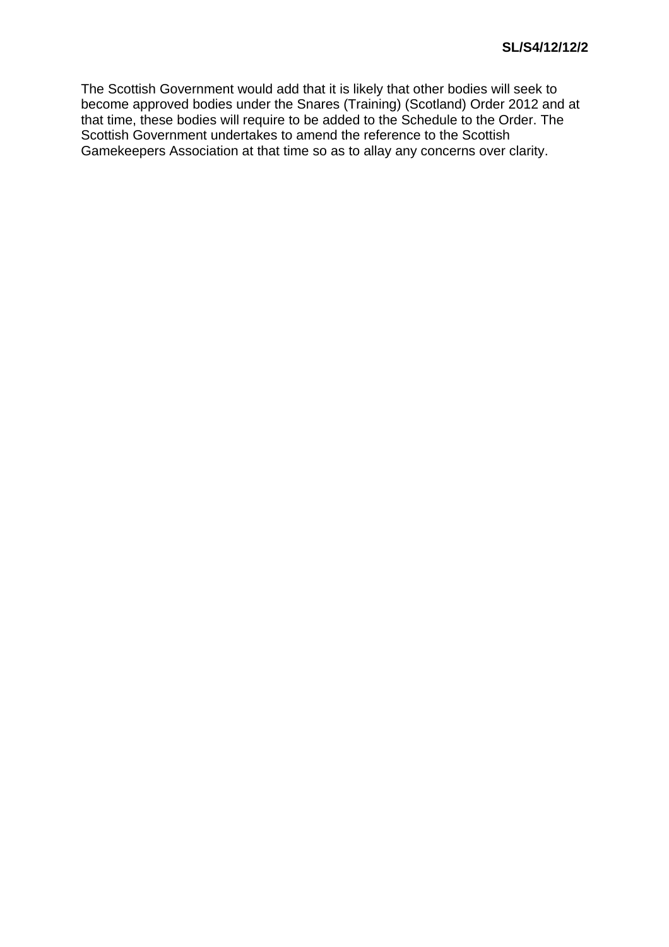The Scottish Government would add that it is likely that other bodies will seek to become approved bodies under the Snares (Training) (Scotland) Order 2012 and at that time, these bodies will require to be added to the Schedule to the Order. The Scottish Government undertakes to amend the reference to the Scottish Gamekeepers Association at that time so as to allay any concerns over clarity.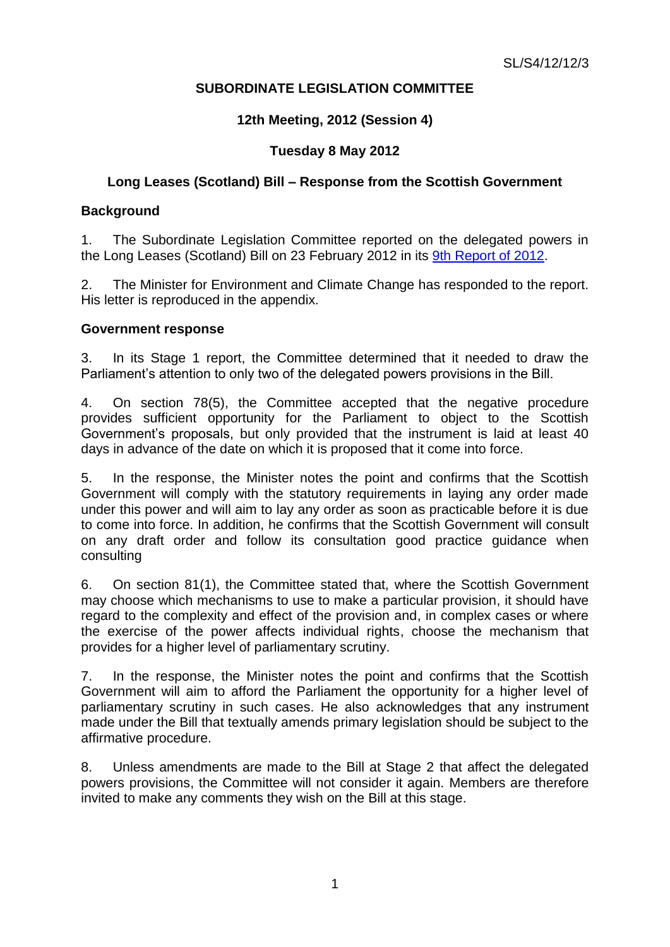### **12th Meeting, 2012 (Session 4)**

# **Tuesday 8 May 2012**

### **Long Leases (Scotland) Bill – Response from the Scottish Government**

### **Background**

1. The Subordinate Legislation Committee reported on the delegated powers in the Long Leases (Scotland) Bill on 23 February 2012 in its [9th Report of 2012.](http://www.scottish.parliament.uk/parliamentarybusiness/CurrentCommittees/47888.aspx)

2. The Minister for Environment and Climate Change has responded to the report. His letter is reproduced in the appendix.

### **Government response**

3. In its Stage 1 report, the Committee determined that it needed to draw the Parliament's attention to only two of the delegated powers provisions in the Bill.

4. On section 78(5), the Committee accepted that the negative procedure provides sufficient opportunity for the Parliament to object to the Scottish Government's proposals, but only provided that the instrument is laid at least 40 days in advance of the date on which it is proposed that it come into force.

5. In the response, the Minister notes the point and confirms that the Scottish Government will comply with the statutory requirements in laying any order made under this power and will aim to lay any order as soon as practicable before it is due to come into force. In addition, he confirms that the Scottish Government will consult on any draft order and follow its consultation good practice guidance when consulting

6. On section 81(1), the Committee stated that, where the Scottish Government may choose which mechanisms to use to make a particular provision, it should have regard to the complexity and effect of the provision and, in complex cases or where the exercise of the power affects individual rights, choose the mechanism that provides for a higher level of parliamentary scrutiny.

7. In the response, the Minister notes the point and confirms that the Scottish Government will aim to afford the Parliament the opportunity for a higher level of parliamentary scrutiny in such cases. He also acknowledges that any instrument made under the Bill that textually amends primary legislation should be subject to the affirmative procedure.

8. Unless amendments are made to the Bill at Stage 2 that affect the delegated powers provisions, the Committee will not consider it again. Members are therefore invited to make any comments they wish on the Bill at this stage.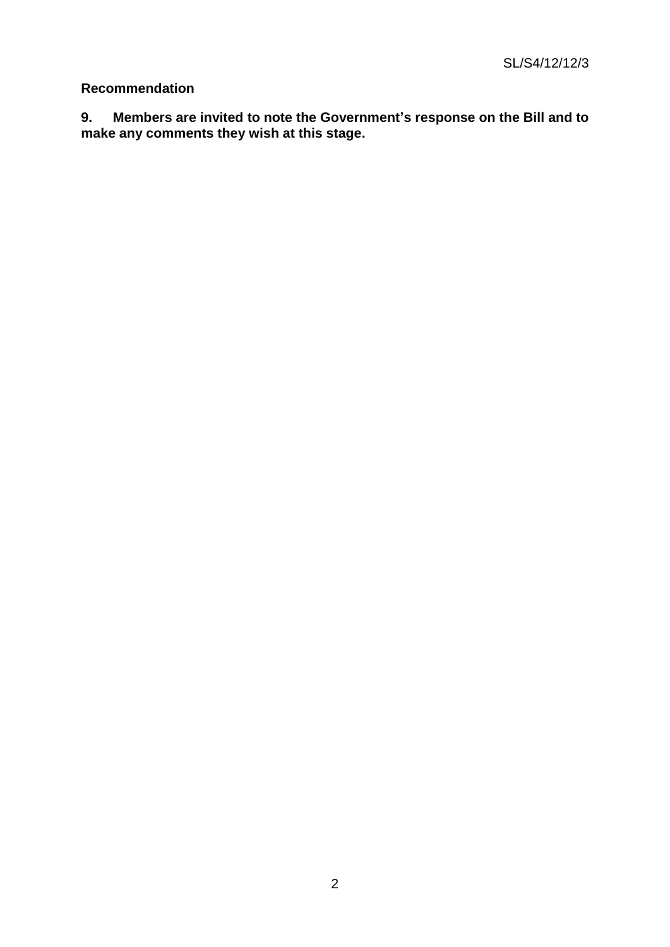# **Recommendation**

**9. Members are invited to note the Government's response on the Bill and to make any comments they wish at this stage.**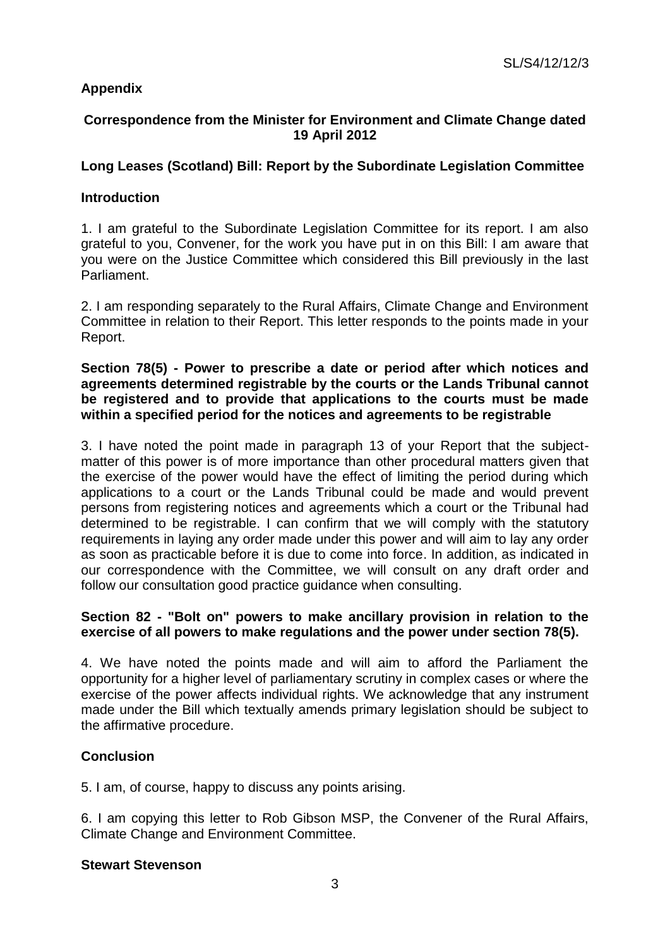# **Appendix**

# **Correspondence from the Minister for Environment and Climate Change dated 19 April 2012**

# **Long Leases (Scotland) Bill: Report by the Subordinate Legislation Committee**

### **Introduction**

1. I am grateful to the Subordinate Legislation Committee for its report. I am also grateful to you, Convener, for the work you have put in on this Bill: I am aware that you were on the Justice Committee which considered this Bill previously in the last Parliament.

2. I am responding separately to the Rural Affairs, Climate Change and Environment Committee in relation to their Report. This letter responds to the points made in your Report.

### **Section 78(5) - Power to prescribe a date or period after which notices and agreements determined registrable by the courts or the Lands Tribunal cannot be registered and to provide that applications to the courts must be made within a specified period for the notices and agreements to be registrable**

3. I have noted the point made in paragraph 13 of your Report that the subjectmatter of this power is of more importance than other procedural matters given that the exercise of the power would have the effect of limiting the period during which applications to a court or the Lands Tribunal could be made and would prevent persons from registering notices and agreements which a court or the Tribunal had determined to be registrable. I can confirm that we will comply with the statutory requirements in laying any order made under this power and will aim to lay any order as soon as practicable before it is due to come into force. In addition, as indicated in our correspondence with the Committee, we will consult on any draft order and follow our consultation good practice guidance when consulting.

# **Section 82 - "Bolt on" powers to make ancillary provision in relation to the exercise of all powers to make regulations and the power under section 78(5).**

4. We have noted the points made and will aim to afford the Parliament the opportunity for a higher level of parliamentary scrutiny in complex cases or where the exercise of the power affects individual rights. We acknowledge that any instrument made under the Bill which textually amends primary legislation should be subject to the affirmative procedure.

# **Conclusion**

5. I am, of course, happy to discuss any points arising.

6. I am copying this letter to Rob Gibson MSP, the Convener of the Rural Affairs, Climate Change and Environment Committee.

#### **Stewart Stevenson**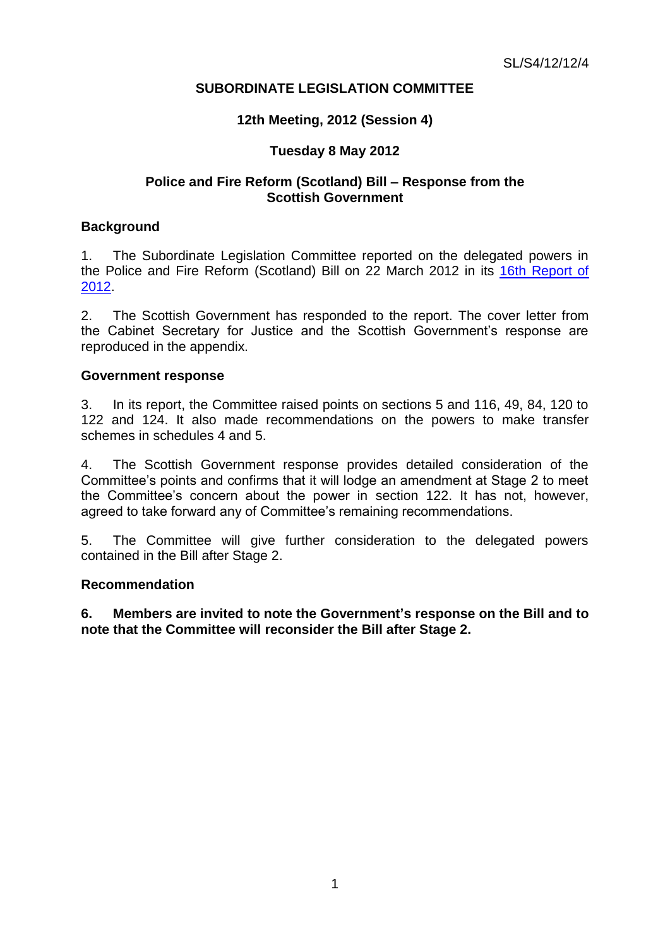### **12th Meeting, 2012 (Session 4)**

### **Tuesday 8 May 2012**

### **Police and Fire Reform (Scotland) Bill – Response from the Scottish Government**

#### **Background**

1. The Subordinate Legislation Committee reported on the delegated powers in the Police and Fire Reform (Scotland) Bill on 22 March 2012 in its [16th Report of](http://www.scottish.parliament.uk/parliamentarybusiness/CurrentCommittees/48806.aspx)  [2012.](http://www.scottish.parliament.uk/parliamentarybusiness/CurrentCommittees/48806.aspx)

2. The Scottish Government has responded to the report. The cover letter from the Cabinet Secretary for Justice and the Scottish Government's response are reproduced in the appendix.

#### **Government response**

3. In its report, the Committee raised points on sections 5 and 116, 49, 84, 120 to 122 and 124. It also made recommendations on the powers to make transfer schemes in schedules 4 and 5.

4. The Scottish Government response provides detailed consideration of the Committee's points and confirms that it will lodge an amendment at Stage 2 to meet the Committee's concern about the power in section 122. It has not, however, agreed to take forward any of Committee's remaining recommendations.

5. The Committee will give further consideration to the delegated powers contained in the Bill after Stage 2.

#### **Recommendation**

**6. Members are invited to note the Government's response on the Bill and to note that the Committee will reconsider the Bill after Stage 2.**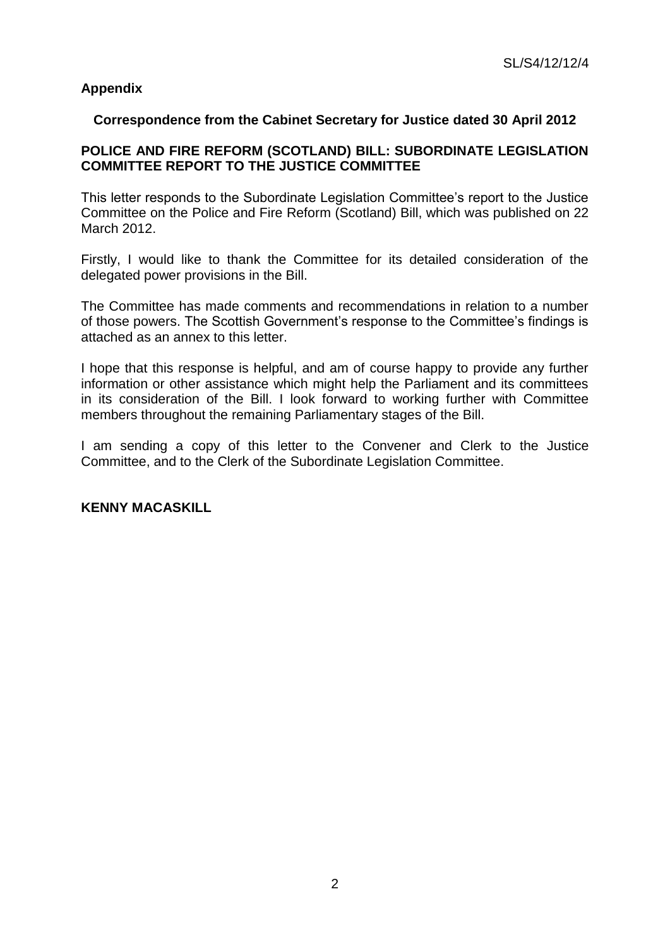# **Appendix**

### **Correspondence from the Cabinet Secretary for Justice dated 30 April 2012**

### **POLICE AND FIRE REFORM (SCOTLAND) BILL: SUBORDINATE LEGISLATION COMMITTEE REPORT TO THE JUSTICE COMMITTEE**

This letter responds to the Subordinate Legislation Committee's report to the Justice Committee on the Police and Fire Reform (Scotland) Bill, which was published on 22 March 2012.

Firstly, I would like to thank the Committee for its detailed consideration of the delegated power provisions in the Bill.

The Committee has made comments and recommendations in relation to a number of those powers. The Scottish Government's response to the Committee's findings is attached as an annex to this letter.

I hope that this response is helpful, and am of course happy to provide any further information or other assistance which might help the Parliament and its committees in its consideration of the Bill. I look forward to working further with Committee members throughout the remaining Parliamentary stages of the Bill.

I am sending a copy of this letter to the Convener and Clerk to the Justice Committee, and to the Clerk of the Subordinate Legislation Committee.

# **KENNY MACASKILL**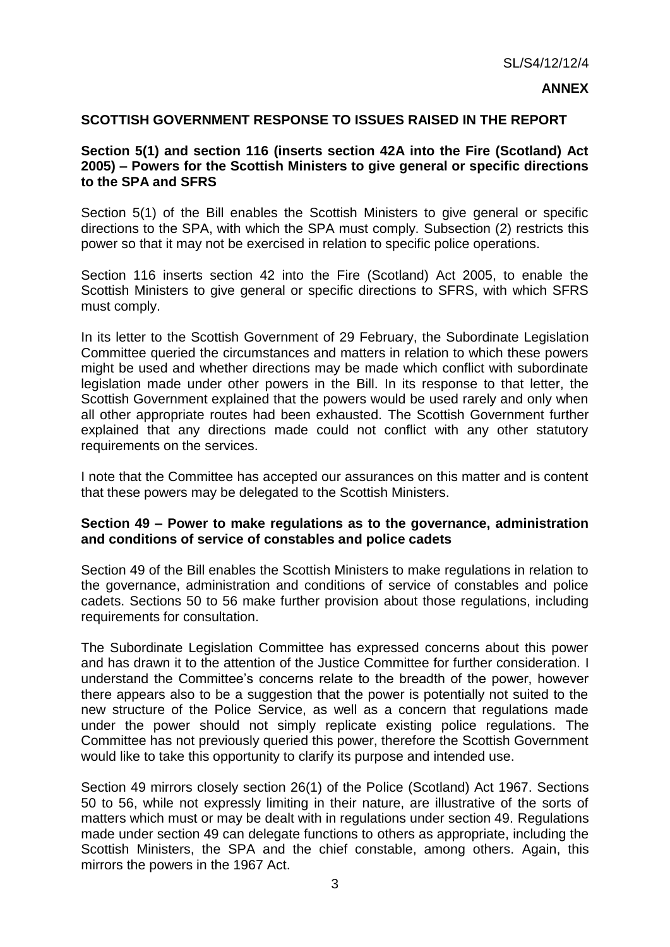### **ANNEX**

#### **SCOTTISH GOVERNMENT RESPONSE TO ISSUES RAISED IN THE REPORT**

### **Section 5(1) and section 116 (inserts section 42A into the Fire (Scotland) Act 2005) – Powers for the Scottish Ministers to give general or specific directions to the SPA and SFRS**

Section 5(1) of the Bill enables the Scottish Ministers to give general or specific directions to the SPA, with which the SPA must comply. Subsection (2) restricts this power so that it may not be exercised in relation to specific police operations.

Section 116 inserts section 42 into the Fire (Scotland) Act 2005, to enable the Scottish Ministers to give general or specific directions to SFRS, with which SFRS must comply.

In its letter to the Scottish Government of 29 February, the Subordinate Legislation Committee queried the circumstances and matters in relation to which these powers might be used and whether directions may be made which conflict with subordinate legislation made under other powers in the Bill. In its response to that letter, the Scottish Government explained that the powers would be used rarely and only when all other appropriate routes had been exhausted. The Scottish Government further explained that any directions made could not conflict with any other statutory requirements on the services.

I note that the Committee has accepted our assurances on this matter and is content that these powers may be delegated to the Scottish Ministers.

### **Section 49 – Power to make regulations as to the governance, administration and conditions of service of constables and police cadets**

Section 49 of the Bill enables the Scottish Ministers to make regulations in relation to the governance, administration and conditions of service of constables and police cadets. Sections 50 to 56 make further provision about those regulations, including requirements for consultation.

The Subordinate Legislation Committee has expressed concerns about this power and has drawn it to the attention of the Justice Committee for further consideration. I understand the Committee's concerns relate to the breadth of the power, however there appears also to be a suggestion that the power is potentially not suited to the new structure of the Police Service, as well as a concern that regulations made under the power should not simply replicate existing police regulations. The Committee has not previously queried this power, therefore the Scottish Government would like to take this opportunity to clarify its purpose and intended use.

Section 49 mirrors closely section 26(1) of the Police (Scotland) Act 1967. Sections 50 to 56, while not expressly limiting in their nature, are illustrative of the sorts of matters which must or may be dealt with in regulations under section 49. Regulations made under section 49 can delegate functions to others as appropriate, including the Scottish Ministers, the SPA and the chief constable, among others. Again, this mirrors the powers in the 1967 Act.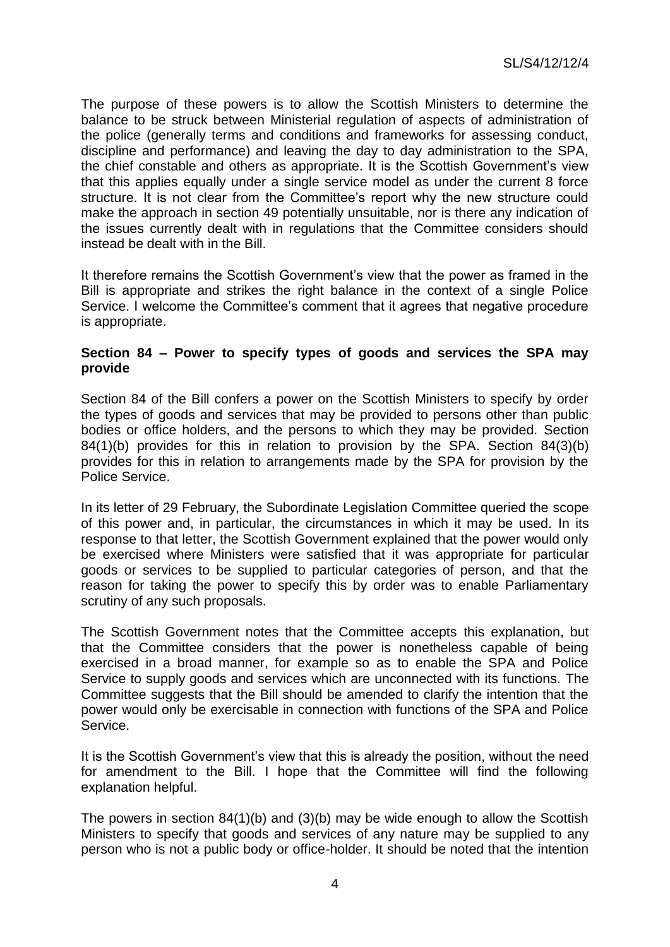The purpose of these powers is to allow the Scottish Ministers to determine the balance to be struck between Ministerial regulation of aspects of administration of the police (generally terms and conditions and frameworks for assessing conduct, discipline and performance) and leaving the day to day administration to the SPA, the chief constable and others as appropriate. It is the Scottish Government's view that this applies equally under a single service model as under the current 8 force structure. It is not clear from the Committee's report why the new structure could make the approach in section 49 potentially unsuitable, nor is there any indication of the issues currently dealt with in regulations that the Committee considers should instead be dealt with in the Bill.

It therefore remains the Scottish Government's view that the power as framed in the Bill is appropriate and strikes the right balance in the context of a single Police Service. I welcome the Committee's comment that it agrees that negative procedure is appropriate.

### **Section 84 – Power to specify types of goods and services the SPA may provide**

Section 84 of the Bill confers a power on the Scottish Ministers to specify by order the types of goods and services that may be provided to persons other than public bodies or office holders, and the persons to which they may be provided. Section 84(1)(b) provides for this in relation to provision by the SPA. Section 84(3)(b) provides for this in relation to arrangements made by the SPA for provision by the Police Service.

In its letter of 29 February, the Subordinate Legislation Committee queried the scope of this power and, in particular, the circumstances in which it may be used. In its response to that letter, the Scottish Government explained that the power would only be exercised where Ministers were satisfied that it was appropriate for particular goods or services to be supplied to particular categories of person, and that the reason for taking the power to specify this by order was to enable Parliamentary scrutiny of any such proposals.

The Scottish Government notes that the Committee accepts this explanation, but that the Committee considers that the power is nonetheless capable of being exercised in a broad manner, for example so as to enable the SPA and Police Service to supply goods and services which are unconnected with its functions. The Committee suggests that the Bill should be amended to clarify the intention that the power would only be exercisable in connection with functions of the SPA and Police Service.

It is the Scottish Government's view that this is already the position, without the need for amendment to the Bill. I hope that the Committee will find the following explanation helpful.

The powers in section 84(1)(b) and (3)(b) may be wide enough to allow the Scottish Ministers to specify that goods and services of any nature may be supplied to any person who is not a public body or office-holder. It should be noted that the intention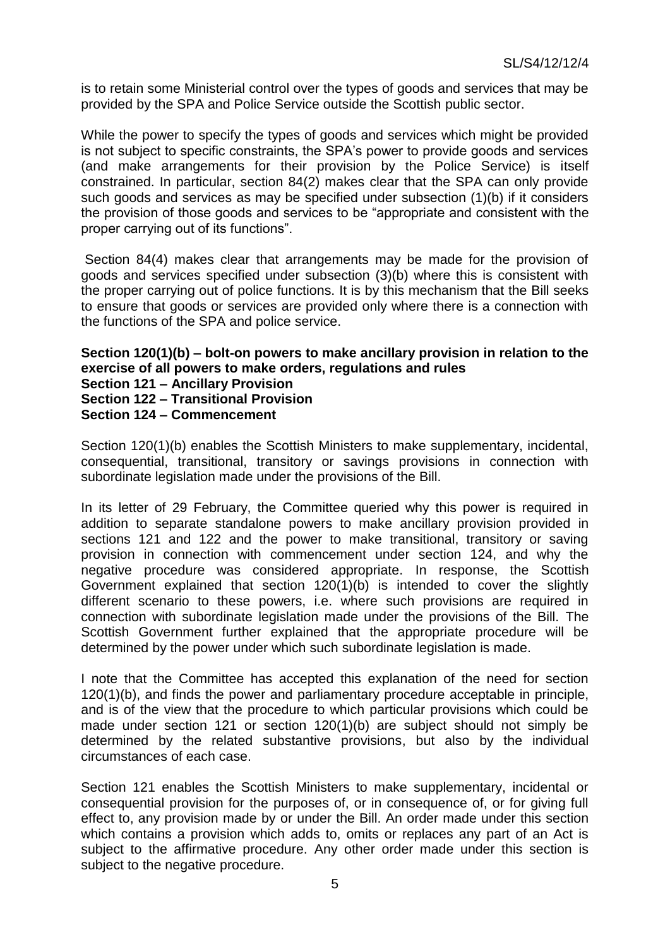is to retain some Ministerial control over the types of goods and services that may be provided by the SPA and Police Service outside the Scottish public sector.

While the power to specify the types of goods and services which might be provided is not subject to specific constraints, the SPA's power to provide goods and services (and make arrangements for their provision by the Police Service) is itself constrained. In particular, section 84(2) makes clear that the SPA can only provide such goods and services as may be specified under subsection (1)(b) if it considers the provision of those goods and services to be "appropriate and consistent with the proper carrying out of its functions".

Section 84(4) makes clear that arrangements may be made for the provision of goods and services specified under subsection (3)(b) where this is consistent with the proper carrying out of police functions. It is by this mechanism that the Bill seeks to ensure that goods or services are provided only where there is a connection with the functions of the SPA and police service.

### **Section 120(1)(b) – bolt-on powers to make ancillary provision in relation to the exercise of all powers to make orders, regulations and rules Section 121 – Ancillary Provision Section 122 – Transitional Provision Section 124 – Commencement**

Section 120(1)(b) enables the Scottish Ministers to make supplementary, incidental, consequential, transitional, transitory or savings provisions in connection with subordinate legislation made under the provisions of the Bill.

In its letter of 29 February, the Committee queried why this power is required in addition to separate standalone powers to make ancillary provision provided in sections 121 and 122 and the power to make transitional, transitory or saving provision in connection with commencement under section 124, and why the negative procedure was considered appropriate. In response, the Scottish Government explained that section  $120(1)(b)$  is intended to cover the slightly different scenario to these powers, i.e. where such provisions are required in connection with subordinate legislation made under the provisions of the Bill. The Scottish Government further explained that the appropriate procedure will be determined by the power under which such subordinate legislation is made.

I note that the Committee has accepted this explanation of the need for section 120(1)(b), and finds the power and parliamentary procedure acceptable in principle, and is of the view that the procedure to which particular provisions which could be made under section 121 or section 120(1)(b) are subject should not simply be determined by the related substantive provisions, but also by the individual circumstances of each case.

Section 121 enables the Scottish Ministers to make supplementary, incidental or consequential provision for the purposes of, or in consequence of, or for giving full effect to, any provision made by or under the Bill. An order made under this section which contains a provision which adds to, omits or replaces any part of an Act is subject to the affirmative procedure. Any other order made under this section is subject to the negative procedure.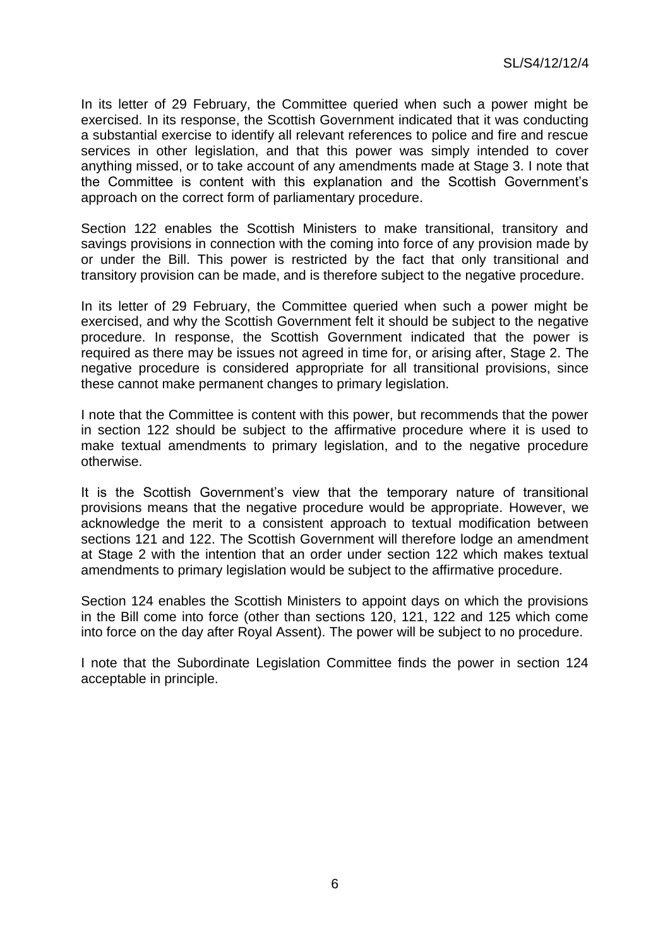In its letter of 29 February, the Committee queried when such a power might be exercised. In its response, the Scottish Government indicated that it was conducting a substantial exercise to identify all relevant references to police and fire and rescue services in other legislation, and that this power was simply intended to cover anything missed, or to take account of any amendments made at Stage 3. I note that the Committee is content with this explanation and the Scottish Government's approach on the correct form of parliamentary procedure.

Section 122 enables the Scottish Ministers to make transitional, transitory and savings provisions in connection with the coming into force of any provision made by or under the Bill. This power is restricted by the fact that only transitional and transitory provision can be made, and is therefore subject to the negative procedure.

In its letter of 29 February, the Committee queried when such a power might be exercised, and why the Scottish Government felt it should be subject to the negative procedure. In response, the Scottish Government indicated that the power is required as there may be issues not agreed in time for, or arising after, Stage 2. The negative procedure is considered appropriate for all transitional provisions, since these cannot make permanent changes to primary legislation.

I note that the Committee is content with this power, but recommends that the power in section 122 should be subject to the affirmative procedure where it is used to make textual amendments to primary legislation, and to the negative procedure otherwise.

It is the Scottish Government's view that the temporary nature of transitional provisions means that the negative procedure would be appropriate. However, we acknowledge the merit to a consistent approach to textual modification between sections 121 and 122. The Scottish Government will therefore lodge an amendment at Stage 2 with the intention that an order under section 122 which makes textual amendments to primary legislation would be subject to the affirmative procedure.

Section 124 enables the Scottish Ministers to appoint days on which the provisions in the Bill come into force (other than sections 120, 121, 122 and 125 which come into force on the day after Royal Assent). The power will be subject to no procedure.

I note that the Subordinate Legislation Committee finds the power in section 124 acceptable in principle.